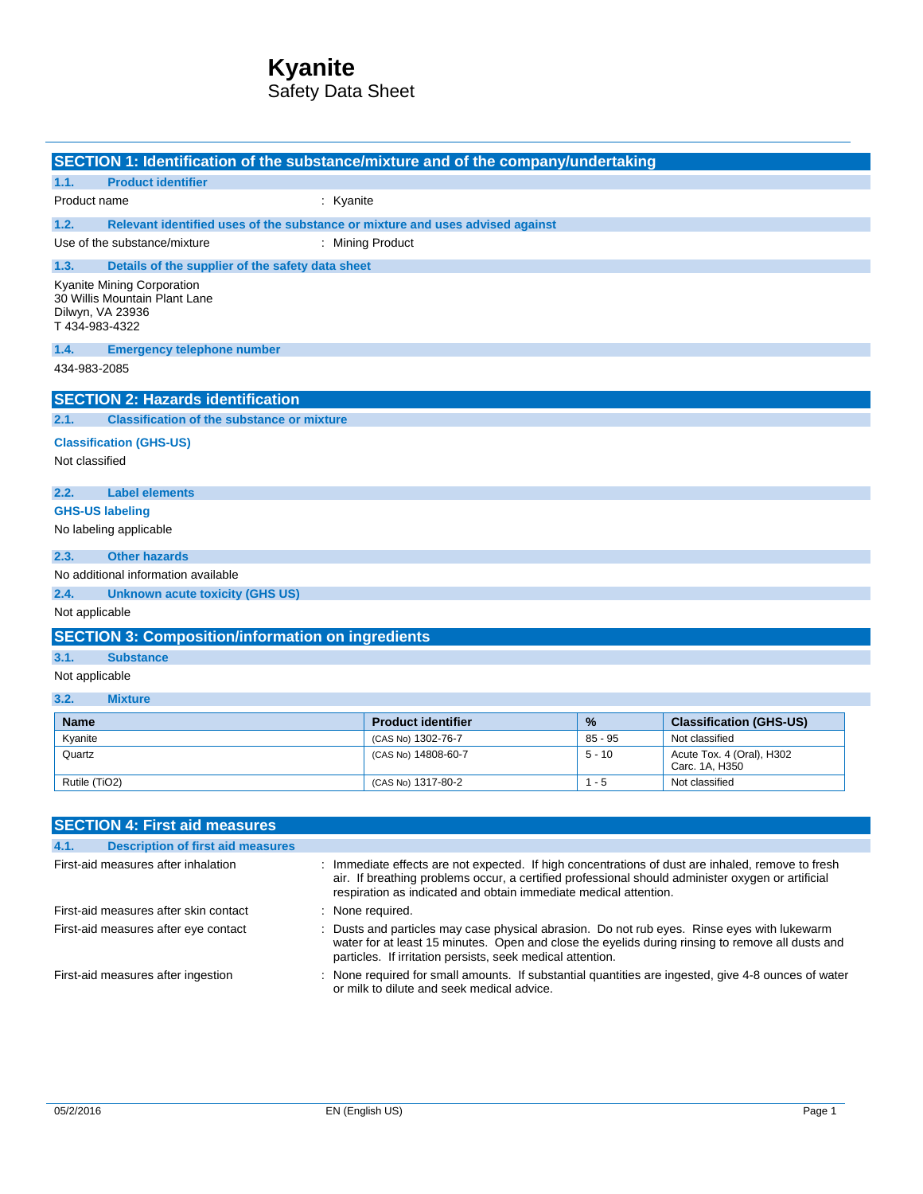# **Kyanite**

Safety Data Sheet

|                                                                                                   | SECTION 1: Identification of the substance/mixture and of the company/undertaking |                           |           |                                                                                                   |
|---------------------------------------------------------------------------------------------------|-----------------------------------------------------------------------------------|---------------------------|-----------|---------------------------------------------------------------------------------------------------|
| <b>Product identifier</b><br>1.1.                                                                 |                                                                                   |                           |           |                                                                                                   |
| Product name                                                                                      | : Kyanite                                                                         |                           |           |                                                                                                   |
| 1.2.                                                                                              | Relevant identified uses of the substance or mixture and uses advised against     |                           |           |                                                                                                   |
| Use of the substance/mixture                                                                      | : Mining Product                                                                  |                           |           |                                                                                                   |
| 1.3.                                                                                              | Details of the supplier of the safety data sheet                                  |                           |           |                                                                                                   |
| Kyanite Mining Corporation<br>30 Willis Mountain Plant Lane<br>Dilwyn, VA 23936<br>T 434-983-4322 |                                                                                   |                           |           |                                                                                                   |
| 1.4.                                                                                              | <b>Emergency telephone number</b>                                                 |                           |           |                                                                                                   |
| 434-983-2085                                                                                      |                                                                                   |                           |           |                                                                                                   |
| <b>SECTION 2: Hazards identification</b>                                                          |                                                                                   |                           |           |                                                                                                   |
| 2.1.                                                                                              | <b>Classification of the substance or mixture</b>                                 |                           |           |                                                                                                   |
| <b>Classification (GHS-US)</b>                                                                    |                                                                                   |                           |           |                                                                                                   |
| Not classified                                                                                    |                                                                                   |                           |           |                                                                                                   |
|                                                                                                   |                                                                                   |                           |           |                                                                                                   |
| 2.2.<br><b>Label elements</b>                                                                     |                                                                                   |                           |           |                                                                                                   |
| <b>GHS-US labeling</b>                                                                            |                                                                                   |                           |           |                                                                                                   |
| No labeling applicable                                                                            |                                                                                   |                           |           |                                                                                                   |
| <b>Other hazards</b><br>2.3.                                                                      |                                                                                   |                           |           |                                                                                                   |
| No additional information available                                                               |                                                                                   |                           |           |                                                                                                   |
| 2.4.                                                                                              | <b>Unknown acute toxicity (GHS US)</b>                                            |                           |           |                                                                                                   |
| Not applicable                                                                                    |                                                                                   |                           |           |                                                                                                   |
|                                                                                                   | <b>SECTION 3: Composition/information on ingredients</b>                          |                           |           |                                                                                                   |
| 3.1.<br><b>Substance</b>                                                                          |                                                                                   |                           |           |                                                                                                   |
| Not applicable                                                                                    |                                                                                   |                           |           |                                                                                                   |
| 3.2.<br><b>Mixture</b>                                                                            |                                                                                   |                           |           |                                                                                                   |
| <b>Name</b>                                                                                       |                                                                                   | <b>Product identifier</b> | $\%$      | <b>Classification (GHS-US)</b>                                                                    |
| Kyanite                                                                                           |                                                                                   | (CAS No) 1302-76-7        | $85 - 95$ | Not classified                                                                                    |
| Quartz                                                                                            |                                                                                   | (CAS No) 14808-60-7       | $5 - 10$  | Acute Tox. 4 (Oral), H302<br>Carc. 1A, H350                                                       |
| Rutile (TiO2)<br>$1 - 5$<br>Not classified<br>(CAS No) 1317-80-2                                  |                                                                                   |                           |           |                                                                                                   |
|                                                                                                   |                                                                                   |                           |           |                                                                                                   |
| <b>SECTION 4: First aid measures</b>                                                              |                                                                                   |                           |           |                                                                                                   |
| 4.1.                                                                                              | <b>Description of first aid measures</b>                                          |                           |           |                                                                                                   |
| First-aid measures after inhalation                                                               |                                                                                   |                           |           | : Immediate effects are not expected. If high concentrations of dust are inhaled, remove to fresh |

air. If breathing problems occur, a certified professional should administer oxygen or artificial respiration as indicated and obtain immediate medical attention. First-aid measures after skin contact : None required. First-aid measures after eye contact : Dusts and particles may case physical abrasion. Do not rub eyes. Rinse eyes with lukewarm water for at least 15 minutes. Open and close the eyelids during rinsing to remove all dusts and particles. If irritation persists, seek medical attention. First-aid measures after ingestion : None required for small amounts. If substantial quantities are ingested, give 4-8 ounces of water or milk to dilute and seek medical advice.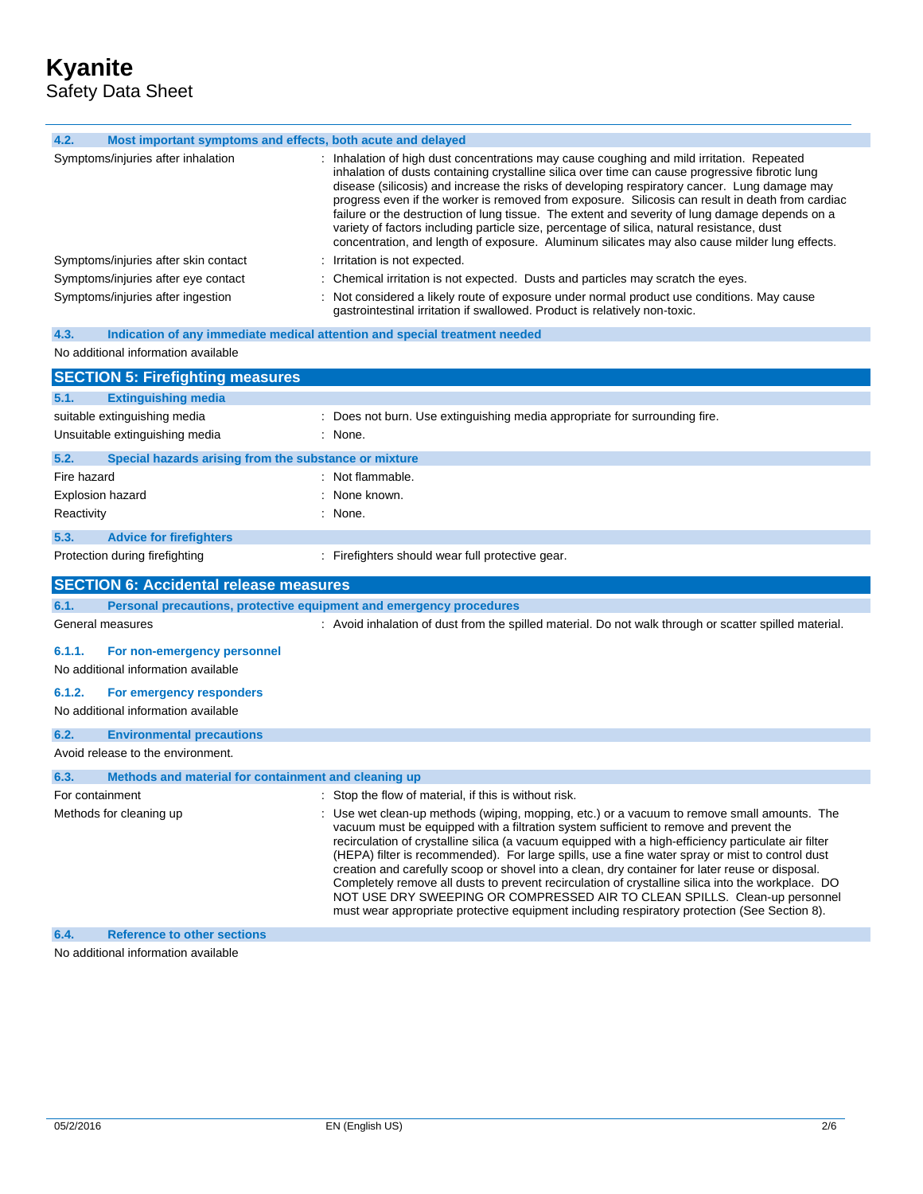| 4.2.<br>Most important symptoms and effects, both acute and delayed                |                                                                                                                                                                                                                                                                                                                                                                                                                                                                                                                                                                                                                                                                                                                                                                                       |
|------------------------------------------------------------------------------------|---------------------------------------------------------------------------------------------------------------------------------------------------------------------------------------------------------------------------------------------------------------------------------------------------------------------------------------------------------------------------------------------------------------------------------------------------------------------------------------------------------------------------------------------------------------------------------------------------------------------------------------------------------------------------------------------------------------------------------------------------------------------------------------|
| Symptoms/injuries after inhalation                                                 | : Inhalation of high dust concentrations may cause coughing and mild irritation. Repeated<br>inhalation of dusts containing crystalline silica over time can cause progressive fibrotic lung<br>disease (silicosis) and increase the risks of developing respiratory cancer. Lung damage may<br>progress even if the worker is removed from exposure. Silicosis can result in death from cardiac<br>failure or the destruction of lung tissue. The extent and severity of lung damage depends on a<br>variety of factors including particle size, percentage of silica, natural resistance, dust<br>concentration, and length of exposure. Aluminum silicates may also cause milder lung effects.                                                                                     |
| Symptoms/injuries after skin contact                                               | : Irritation is not expected.                                                                                                                                                                                                                                                                                                                                                                                                                                                                                                                                                                                                                                                                                                                                                         |
| Symptoms/injuries after eye contact                                                | Chemical irritation is not expected. Dusts and particles may scratch the eyes.                                                                                                                                                                                                                                                                                                                                                                                                                                                                                                                                                                                                                                                                                                        |
| Symptoms/injuries after ingestion                                                  | : Not considered a likely route of exposure under normal product use conditions. May cause<br>gastrointestinal irritation if swallowed. Product is relatively non-toxic.                                                                                                                                                                                                                                                                                                                                                                                                                                                                                                                                                                                                              |
| 4.3.<br>Indication of any immediate medical attention and special treatment needed |                                                                                                                                                                                                                                                                                                                                                                                                                                                                                                                                                                                                                                                                                                                                                                                       |
| No additional information available                                                |                                                                                                                                                                                                                                                                                                                                                                                                                                                                                                                                                                                                                                                                                                                                                                                       |
| <b>SECTION 5: Firefighting measures</b>                                            |                                                                                                                                                                                                                                                                                                                                                                                                                                                                                                                                                                                                                                                                                                                                                                                       |
| <b>Extinguishing media</b><br>5.1.                                                 |                                                                                                                                                                                                                                                                                                                                                                                                                                                                                                                                                                                                                                                                                                                                                                                       |
| suitable extinguishing media                                                       | : Does not burn. Use extinguishing media appropriate for surrounding fire.                                                                                                                                                                                                                                                                                                                                                                                                                                                                                                                                                                                                                                                                                                            |
| Unsuitable extinguishing media                                                     | : None.                                                                                                                                                                                                                                                                                                                                                                                                                                                                                                                                                                                                                                                                                                                                                                               |
| 5.2.<br>Special hazards arising from the substance or mixture                      |                                                                                                                                                                                                                                                                                                                                                                                                                                                                                                                                                                                                                                                                                                                                                                                       |
| Fire hazard                                                                        | : Not flammable.                                                                                                                                                                                                                                                                                                                                                                                                                                                                                                                                                                                                                                                                                                                                                                      |
| Explosion hazard                                                                   | : None known.                                                                                                                                                                                                                                                                                                                                                                                                                                                                                                                                                                                                                                                                                                                                                                         |
| Reactivity                                                                         | : None.                                                                                                                                                                                                                                                                                                                                                                                                                                                                                                                                                                                                                                                                                                                                                                               |
| 5.3.<br><b>Advice for firefighters</b>                                             |                                                                                                                                                                                                                                                                                                                                                                                                                                                                                                                                                                                                                                                                                                                                                                                       |
| Protection during firefighting                                                     | : Firefighters should wear full protective gear.                                                                                                                                                                                                                                                                                                                                                                                                                                                                                                                                                                                                                                                                                                                                      |
| <b>SECTION 6: Accidental release measures</b>                                      |                                                                                                                                                                                                                                                                                                                                                                                                                                                                                                                                                                                                                                                                                                                                                                                       |
| Personal precautions, protective equipment and emergency procedures<br>6.1.        |                                                                                                                                                                                                                                                                                                                                                                                                                                                                                                                                                                                                                                                                                                                                                                                       |
| General measures                                                                   | : Avoid inhalation of dust from the spilled material. Do not walk through or scatter spilled material.                                                                                                                                                                                                                                                                                                                                                                                                                                                                                                                                                                                                                                                                                |
| 6.1.1.<br>For non-emergency personnel                                              |                                                                                                                                                                                                                                                                                                                                                                                                                                                                                                                                                                                                                                                                                                                                                                                       |
| No additional information available                                                |                                                                                                                                                                                                                                                                                                                                                                                                                                                                                                                                                                                                                                                                                                                                                                                       |
| 6.1.2.<br>For emergency responders                                                 |                                                                                                                                                                                                                                                                                                                                                                                                                                                                                                                                                                                                                                                                                                                                                                                       |
| No additional information available                                                |                                                                                                                                                                                                                                                                                                                                                                                                                                                                                                                                                                                                                                                                                                                                                                                       |
| 6.2.<br><b>Environmental precautions</b>                                           |                                                                                                                                                                                                                                                                                                                                                                                                                                                                                                                                                                                                                                                                                                                                                                                       |
| Avoid release to the environment.                                                  |                                                                                                                                                                                                                                                                                                                                                                                                                                                                                                                                                                                                                                                                                                                                                                                       |
| 6.3.<br>Methods and material for containment and cleaning up                       |                                                                                                                                                                                                                                                                                                                                                                                                                                                                                                                                                                                                                                                                                                                                                                                       |
| For containment                                                                    | : Stop the flow of material, if this is without risk.                                                                                                                                                                                                                                                                                                                                                                                                                                                                                                                                                                                                                                                                                                                                 |
| Methods for cleaning up                                                            | : Use wet clean-up methods (wiping, mopping, etc.) or a vacuum to remove small amounts. The<br>vacuum must be equipped with a filtration system sufficient to remove and prevent the<br>recirculation of crystalline silica (a vacuum equipped with a high-efficiency particulate air filter<br>(HEPA) filter is recommended). For large spills, use a fine water spray or mist to control dust<br>creation and carefully scoop or shovel into a clean, dry container for later reuse or disposal.<br>Completely remove all dusts to prevent recirculation of crystalline silica into the workplace. DO<br>NOT USE DRY SWEEPING OR COMPRESSED AIR TO CLEAN SPILLS. Clean-up personnel<br>must wear appropriate protective equipment including respiratory protection (See Section 8). |
| <b>Reference to other sections</b><br>6.4.                                         |                                                                                                                                                                                                                                                                                                                                                                                                                                                                                                                                                                                                                                                                                                                                                                                       |

No additional information available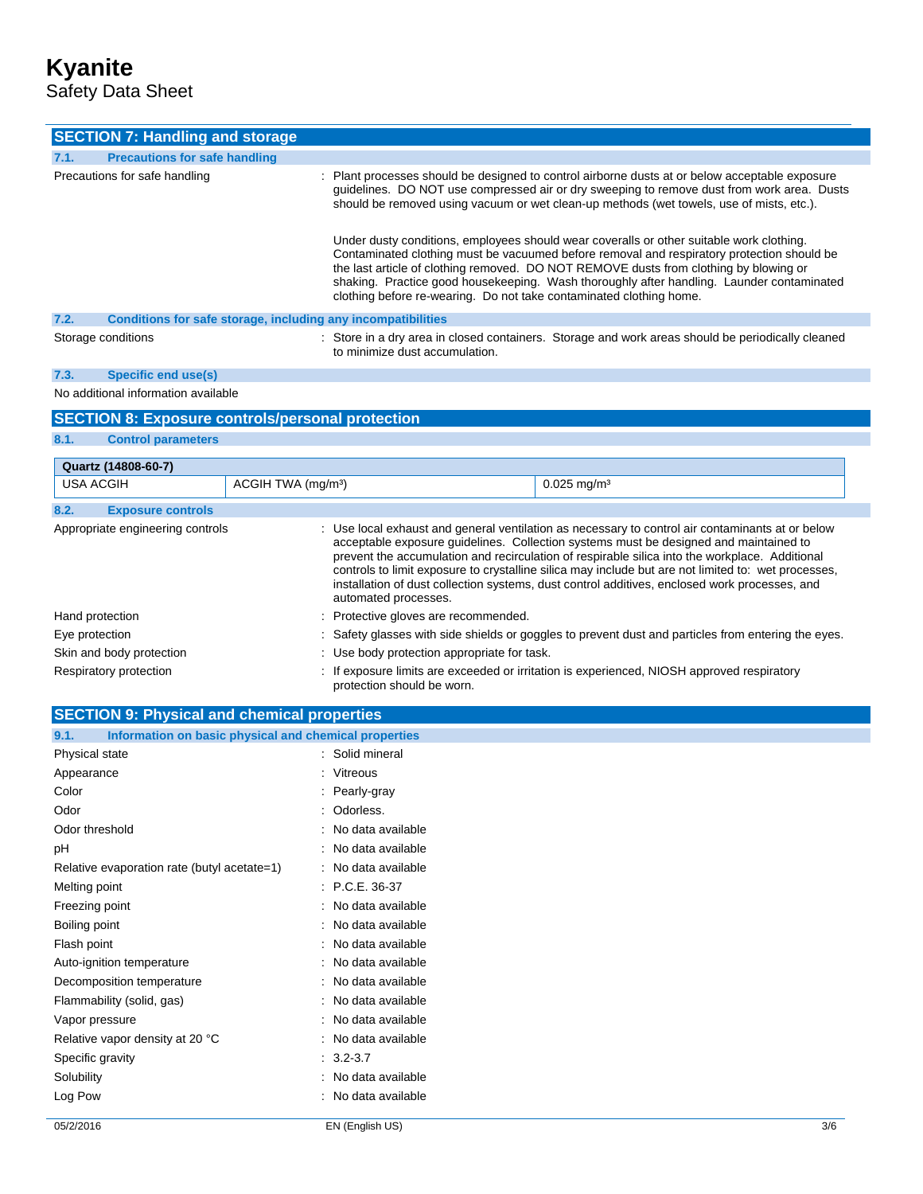# **Kyanite**

Safety Data Sheet

| <b>SECTION 7: Handling and storage</b>                               |                                                                                                                                                                                                                                                                                                                                                                                                                                                     |
|----------------------------------------------------------------------|-----------------------------------------------------------------------------------------------------------------------------------------------------------------------------------------------------------------------------------------------------------------------------------------------------------------------------------------------------------------------------------------------------------------------------------------------------|
| <b>Precautions for safe handling</b><br>7.1.                         |                                                                                                                                                                                                                                                                                                                                                                                                                                                     |
| Precautions for safe handling                                        | : Plant processes should be designed to control airborne dusts at or below acceptable exposure<br>guidelines. DO NOT use compressed air or dry sweeping to remove dust from work area. Dusts<br>should be removed using vacuum or wet clean-up methods (wet towels, use of mists, etc.).                                                                                                                                                            |
|                                                                      | Under dusty conditions, employees should wear coveralls or other suitable work clothing.<br>Contaminated clothing must be vacuumed before removal and respiratory protection should be<br>the last article of clothing removed. DO NOT REMOVE dusts from clothing by blowing or<br>shaking. Practice good housekeeping. Wash thoroughly after handling. Launder contaminated<br>clothing before re-wearing. Do not take contaminated clothing home. |
| 7.2.<br>Conditions for safe storage, including any incompatibilities |                                                                                                                                                                                                                                                                                                                                                                                                                                                     |
| Storage conditions                                                   | : Store in a dry area in closed containers. Storage and work areas should be periodically cleaned<br>to minimize dust accumulation.                                                                                                                                                                                                                                                                                                                 |

## **7.3. Specific end use(s)**

**8.1. Control parameters**

### No additional information available

## **SECTION 8: Exposure controls/personal protection**

| Quartz (14808-60-7)              |                                |                                                                                                                                                                                                                                                                                                                                                                                                                                                                                                     |  |  |
|----------------------------------|--------------------------------|-----------------------------------------------------------------------------------------------------------------------------------------------------------------------------------------------------------------------------------------------------------------------------------------------------------------------------------------------------------------------------------------------------------------------------------------------------------------------------------------------------|--|--|
| <b>USA ACGIH</b>                 | ACGIH TWA (mg/m <sup>3</sup> ) | $0.025$ mg/m <sup>3</sup>                                                                                                                                                                                                                                                                                                                                                                                                                                                                           |  |  |
| 8.2.<br><b>Exposure controls</b> |                                |                                                                                                                                                                                                                                                                                                                                                                                                                                                                                                     |  |  |
| Appropriate engineering controls | automated processes.           | : Use local exhaust and general ventilation as necessary to control air contaminants at or below<br>acceptable exposure quidelines. Collection systems must be designed and maintained to<br>prevent the accumulation and recirculation of respirable silica into the workplace. Additional<br>controls to limit exposure to crystalline silica may include but are not limited to: wet processes,<br>installation of dust collection systems, dust control additives, enclosed work processes, and |  |  |
| Hand protection                  |                                | : Protective gloves are recommended.                                                                                                                                                                                                                                                                                                                                                                                                                                                                |  |  |
| Eye protection                   |                                | : Safety glasses with side shields or goggles to prevent dust and particles from entering the eyes.                                                                                                                                                                                                                                                                                                                                                                                                 |  |  |
| Skin and body protection         |                                | : Use body protection appropriate for task.                                                                                                                                                                                                                                                                                                                                                                                                                                                         |  |  |
| Respiratory protection           | protection should be worn.     | : If exposure limits are exceeded or irritation is experienced, NIOSH approved respiratory                                                                                                                                                                                                                                                                                                                                                                                                          |  |  |

| <b>SECTION 9: Physical and chemical properties</b>            |                     |  |
|---------------------------------------------------------------|---------------------|--|
| Information on basic physical and chemical properties<br>9.1. |                     |  |
| Physical state                                                | : Solid mineral     |  |
| Appearance                                                    | : Vitreous          |  |
| Color                                                         | : Pearly-gray       |  |
| Odor                                                          | : Odorless.         |  |
| Odor threshold                                                | : No data available |  |
| рH                                                            | : No data available |  |
| Relative evaporation rate (butyl acetate=1)                   | : No data available |  |
| Melting point                                                 | $: P.C.E. 36-37$    |  |
| Freezing point                                                | : No data available |  |
| Boiling point                                                 | : No data available |  |
| Flash point                                                   | : No data available |  |
| Auto-ignition temperature                                     | : No data available |  |
| Decomposition temperature                                     | : No data available |  |
| Flammability (solid, gas)                                     | : No data available |  |
| Vapor pressure                                                | : No data available |  |
| Relative vapor density at 20 °C                               | : No data available |  |
| Specific gravity                                              | $: 3.2 - 3.7$       |  |
| Solubility                                                    | : No data available |  |
| Log Pow                                                       | : No data available |  |
|                                                               |                     |  |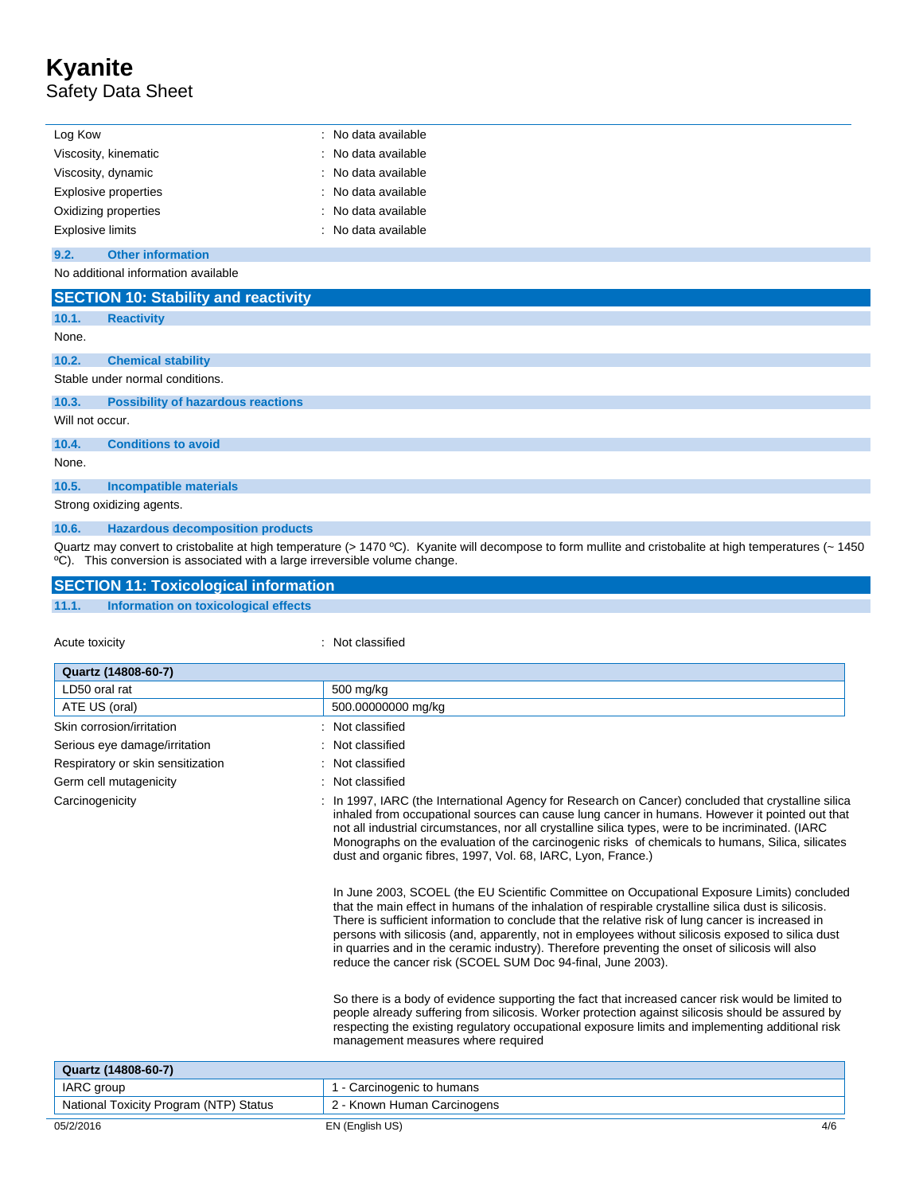# **Kyanite** Safety Data Sheet

| Log Kow                 | : No data available |
|-------------------------|---------------------|
| Viscosity, kinematic    | : No data available |
| Viscosity, dynamic      | : No data available |
| Explosive properties    | : No data available |
| Oxidizing properties    | : No data available |
| <b>Explosive limits</b> | : No data available |

#### **9.2. Other information**

No additional information available

|                 | <b>SECTION 10: Stability and reactivity</b> |  |  |
|-----------------|---------------------------------------------|--|--|
| 10.1.           | <b>Reactivity</b>                           |  |  |
| None.           |                                             |  |  |
| 10.2.           | <b>Chemical stability</b>                   |  |  |
|                 | Stable under normal conditions.             |  |  |
| 10.3.           | <b>Possibility of hazardous reactions</b>   |  |  |
| Will not occur. |                                             |  |  |
| 10.4.           | <b>Conditions to avoid</b>                  |  |  |
| None.           |                                             |  |  |
| 10.5.           | <b>Incompatible materials</b>               |  |  |
|                 | Strong oxidizing agents.                    |  |  |
| 10.6.           | <b>Hazardous decomposition products</b>     |  |  |

Quartz may convert to cristobalite at high temperature (> 1470 °C). Kyanite will decompose to form mullite and cristobalite at high temperatures (~ 1450 ºC). This conversion is associated with a large irreversible volume change.

#### **SECTION 11: Toxicological information 11.1. Information on toxicological effects**

Acute toxicity **in the case of the case of the case of the case of the case of the case of the case of the case of the case of the case of the case of the case of the case of the case of the case of the case of the case of** 

| Quartz (14808-60-7)                    |                                                                                                                                                                                                                                                                                                                                                                                                                                                                                                                                                                                  |
|----------------------------------------|----------------------------------------------------------------------------------------------------------------------------------------------------------------------------------------------------------------------------------------------------------------------------------------------------------------------------------------------------------------------------------------------------------------------------------------------------------------------------------------------------------------------------------------------------------------------------------|
| LD50 oral rat                          | 500 mg/kg                                                                                                                                                                                                                                                                                                                                                                                                                                                                                                                                                                        |
| ATE US (oral)                          | 500.00000000 mg/kg                                                                                                                                                                                                                                                                                                                                                                                                                                                                                                                                                               |
| Skin corrosion/irritation              | Not classified                                                                                                                                                                                                                                                                                                                                                                                                                                                                                                                                                                   |
| Serious eye damage/irritation          | Not classified                                                                                                                                                                                                                                                                                                                                                                                                                                                                                                                                                                   |
| Respiratory or skin sensitization      | Not classified                                                                                                                                                                                                                                                                                                                                                                                                                                                                                                                                                                   |
| Germ cell mutagenicity                 | Not classified                                                                                                                                                                                                                                                                                                                                                                                                                                                                                                                                                                   |
| Carcinogenicity                        | : In 1997, IARC (the International Agency for Research on Cancer) concluded that crystalline silica<br>inhaled from occupational sources can cause lung cancer in humans. However it pointed out that<br>not all industrial circumstances, nor all crystalline silica types, were to be incriminated. (IARC<br>Monographs on the evaluation of the carcinogenic risks of chemicals to humans, Silica, silicates<br>dust and organic fibres, 1997, Vol. 68, IARC, Lyon, France.)                                                                                                  |
|                                        | In June 2003, SCOEL (the EU Scientific Committee on Occupational Exposure Limits) concluded<br>that the main effect in humans of the inhalation of respirable crystalline silica dust is silicosis.<br>There is sufficient information to conclude that the relative risk of lung cancer is increased in<br>persons with silicosis (and, apparently, not in employees without silicosis exposed to silica dust<br>in quarries and in the ceramic industry). Therefore preventing the onset of silicosis will also<br>reduce the cancer risk (SCOEL SUM Doc 94-final, June 2003). |
|                                        | So there is a body of evidence supporting the fact that increased cancer risk would be limited to<br>people already suffering from silicosis. Worker protection against silicosis should be assured by<br>respecting the existing regulatory occupational exposure limits and implementing additional risk<br>management measures where required                                                                                                                                                                                                                                 |
| Quartz (14808-60-7)                    |                                                                                                                                                                                                                                                                                                                                                                                                                                                                                                                                                                                  |
| <b>IARC</b> group                      | 1 - Carcinogenic to humans                                                                                                                                                                                                                                                                                                                                                                                                                                                                                                                                                       |
| National Toxicity Program (NTP) Status | 2 - Known Human Carcinogens                                                                                                                                                                                                                                                                                                                                                                                                                                                                                                                                                      |
| 05/2/2016                              | 4/6<br>EN (English US)                                                                                                                                                                                                                                                                                                                                                                                                                                                                                                                                                           |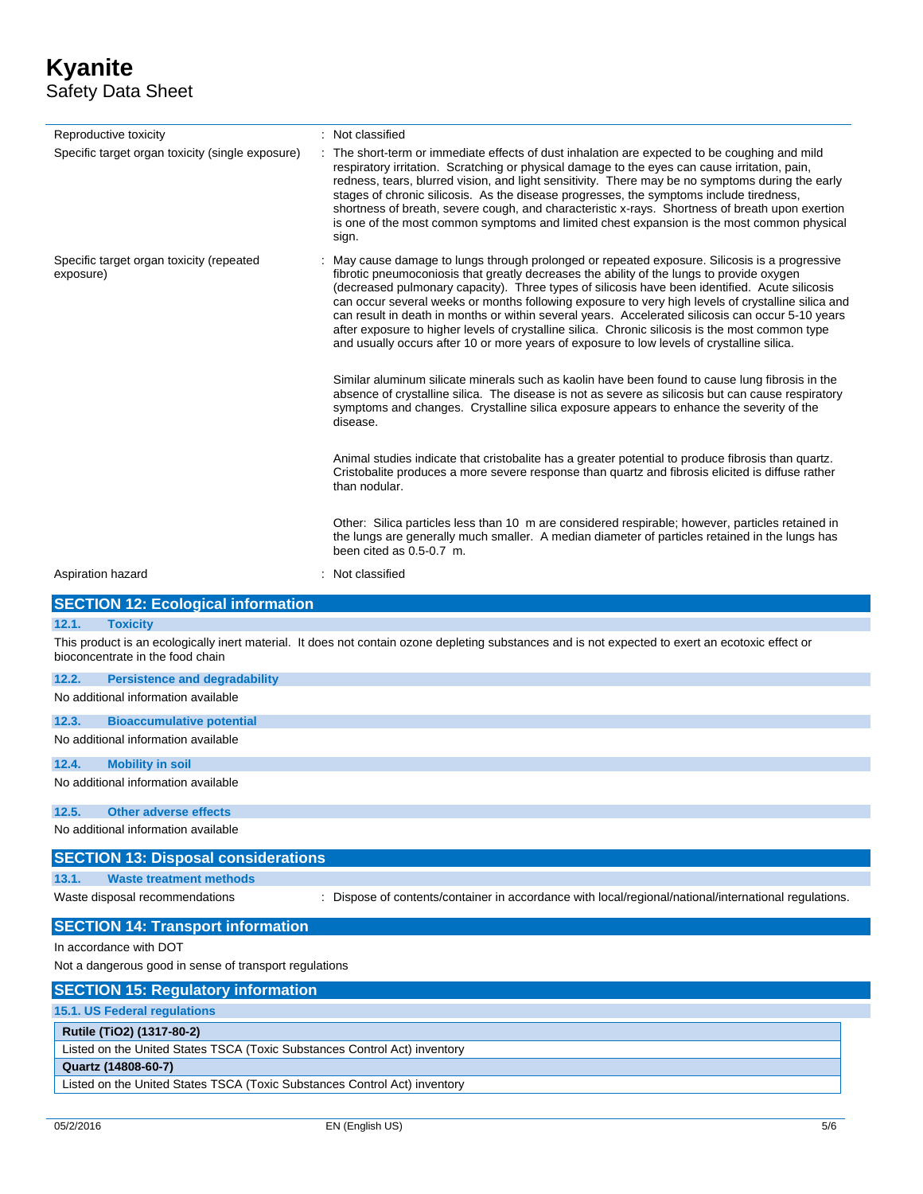## **Kyanite** Safety Data Sheet

| Reproductive toxicity                                                     | : Not classified                                                                                                                                                                                                                                                                                                                                                                                                                                                                                                                                                                                                                                                                                         |  |
|---------------------------------------------------------------------------|----------------------------------------------------------------------------------------------------------------------------------------------------------------------------------------------------------------------------------------------------------------------------------------------------------------------------------------------------------------------------------------------------------------------------------------------------------------------------------------------------------------------------------------------------------------------------------------------------------------------------------------------------------------------------------------------------------|--|
| Specific target organ toxicity (single exposure)                          | The short-term or immediate effects of dust inhalation are expected to be coughing and mild<br>respiratory irritation. Scratching or physical damage to the eyes can cause irritation, pain,<br>redness, tears, blurred vision, and light sensitivity. There may be no symptoms during the early<br>stages of chronic silicosis. As the disease progresses, the symptoms include tiredness,<br>shortness of breath, severe cough, and characteristic x-rays. Shortness of breath upon exertion<br>is one of the most common symptoms and limited chest expansion is the most common physical<br>sign.                                                                                                    |  |
| Specific target organ toxicity (repeated<br>exposure)                     | May cause damage to lungs through prolonged or repeated exposure. Silicosis is a progressive<br>fibrotic pneumoconiosis that greatly decreases the ability of the lungs to provide oxygen<br>(decreased pulmonary capacity). Three types of silicosis have been identified. Acute silicosis<br>can occur several weeks or months following exposure to very high levels of crystalline silica and<br>can result in death in months or within several years. Accelerated silicosis can occur 5-10 years<br>after exposure to higher levels of crystalline silica. Chronic silicosis is the most common type<br>and usually occurs after 10 or more years of exposure to low levels of crystalline silica. |  |
|                                                                           | Similar aluminum silicate minerals such as kaolin have been found to cause lung fibrosis in the<br>absence of crystalline silica. The disease is not as severe as silicosis but can cause respiratory<br>symptoms and changes. Crystalline silica exposure appears to enhance the severity of the<br>disease.                                                                                                                                                                                                                                                                                                                                                                                            |  |
|                                                                           | Animal studies indicate that cristobalite has a greater potential to produce fibrosis than quartz.<br>Cristobalite produces a more severe response than quartz and fibrosis elicited is diffuse rather<br>than nodular.                                                                                                                                                                                                                                                                                                                                                                                                                                                                                  |  |
|                                                                           | Other: Silica particles less than 10 m are considered respirable; however, particles retained in<br>the lungs are generally much smaller. A median diameter of particles retained in the lungs has<br>been cited as 0.5-0.7 m.                                                                                                                                                                                                                                                                                                                                                                                                                                                                           |  |
| Aspiration hazard                                                         | : Not classified                                                                                                                                                                                                                                                                                                                                                                                                                                                                                                                                                                                                                                                                                         |  |
| <b>SECTION 12: Ecological information</b>                                 |                                                                                                                                                                                                                                                                                                                                                                                                                                                                                                                                                                                                                                                                                                          |  |
| 12.1.<br><b>Toxicity</b>                                                  |                                                                                                                                                                                                                                                                                                                                                                                                                                                                                                                                                                                                                                                                                                          |  |
| bioconcentrate in the food chain                                          | This product is an ecologically inert material. It does not contain ozone depleting substances and is not expected to exert an ecotoxic effect or                                                                                                                                                                                                                                                                                                                                                                                                                                                                                                                                                        |  |
| 12.2.<br><b>Persistence and degradability</b>                             |                                                                                                                                                                                                                                                                                                                                                                                                                                                                                                                                                                                                                                                                                                          |  |
| No additional information available                                       |                                                                                                                                                                                                                                                                                                                                                                                                                                                                                                                                                                                                                                                                                                          |  |
| 12.3.<br><b>Bioaccumulative potential</b>                                 |                                                                                                                                                                                                                                                                                                                                                                                                                                                                                                                                                                                                                                                                                                          |  |
| No additional information available                                       |                                                                                                                                                                                                                                                                                                                                                                                                                                                                                                                                                                                                                                                                                                          |  |
| 12.4.<br><b>Mobility in soil</b>                                          |                                                                                                                                                                                                                                                                                                                                                                                                                                                                                                                                                                                                                                                                                                          |  |
| No additional information available                                       |                                                                                                                                                                                                                                                                                                                                                                                                                                                                                                                                                                                                                                                                                                          |  |
| 12.5.<br><b>Other adverse effects</b>                                     |                                                                                                                                                                                                                                                                                                                                                                                                                                                                                                                                                                                                                                                                                                          |  |
| No additional information available                                       |                                                                                                                                                                                                                                                                                                                                                                                                                                                                                                                                                                                                                                                                                                          |  |
| <b>SECTION 13: Disposal considerations</b>                                |                                                                                                                                                                                                                                                                                                                                                                                                                                                                                                                                                                                                                                                                                                          |  |
| 13.1.<br><b>Waste treatment methods</b>                                   |                                                                                                                                                                                                                                                                                                                                                                                                                                                                                                                                                                                                                                                                                                          |  |
| Waste disposal recommendations                                            | : Dispose of contents/container in accordance with local/regional/national/international regulations.                                                                                                                                                                                                                                                                                                                                                                                                                                                                                                                                                                                                    |  |
| <b>SECTION 14: Transport information</b>                                  |                                                                                                                                                                                                                                                                                                                                                                                                                                                                                                                                                                                                                                                                                                          |  |
| In accordance with DOT                                                    |                                                                                                                                                                                                                                                                                                                                                                                                                                                                                                                                                                                                                                                                                                          |  |
| Not a dangerous good in sense of transport regulations                    |                                                                                                                                                                                                                                                                                                                                                                                                                                                                                                                                                                                                                                                                                                          |  |
| <b>SECTION 15: Regulatory information</b>                                 |                                                                                                                                                                                                                                                                                                                                                                                                                                                                                                                                                                                                                                                                                                          |  |
| 15.1. US Federal regulations                                              |                                                                                                                                                                                                                                                                                                                                                                                                                                                                                                                                                                                                                                                                                                          |  |
| Rutile (TiO2) (1317-80-2)                                                 |                                                                                                                                                                                                                                                                                                                                                                                                                                                                                                                                                                                                                                                                                                          |  |
| Listed on the United States TSCA (Toxic Substances Control Act) inventory |                                                                                                                                                                                                                                                                                                                                                                                                                                                                                                                                                                                                                                                                                                          |  |
| Quartz (14808-60-7)                                                       |                                                                                                                                                                                                                                                                                                                                                                                                                                                                                                                                                                                                                                                                                                          |  |

Listed on the United States TSCA (Toxic Substances Control Act) inventory